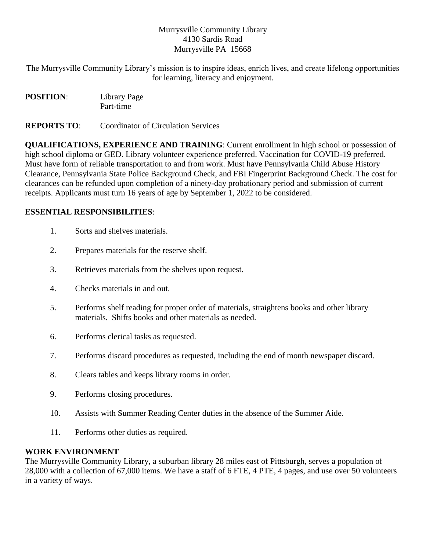## Murrysville Community Library 4130 Sardis Road Murrysville PA 15668

The Murrysville Community Library's mission is to inspire ideas, enrich lives, and create lifelong opportunities for learning, literacy and enjoyment.

| <b>POSITION:</b> | Library Page |
|------------------|--------------|
|                  | Part-time    |

**REPORTS TO**: Coordinator of Circulation Services

**QUALIFICATIONS, EXPERIENCE AND TRAINING**: Current enrollment in high school or possession of high school diploma or GED. Library volunteer experience preferred. Vaccination for COVID-19 preferred. Must have form of reliable transportation to and from work. Must have Pennsylvania Child Abuse History Clearance, Pennsylvania State Police Background Check, and FBI Fingerprint Background Check. The cost for clearances can be refunded upon completion of a ninety-day probationary period and submission of current receipts. Applicants must turn 16 years of age by September 1, 2022 to be considered.

# **ESSENTIAL RESPONSIBILITIES**:

- 1. Sorts and shelves materials.
- 2. Prepares materials for the reserve shelf.
- 3. Retrieves materials from the shelves upon request.
- 4. Checks materials in and out.
- 5. Performs shelf reading for proper order of materials, straightens books and other library materials. Shifts books and other materials as needed.
- 6. Performs clerical tasks as requested.
- 7. Performs discard procedures as requested, including the end of month newspaper discard.
- 8. Clears tables and keeps library rooms in order.
- 9. Performs closing procedures.
- 10. Assists with Summer Reading Center duties in the absence of the Summer Aide.
- 11. Performs other duties as required.

### **WORK ENVIRONMENT**

The Murrysville Community Library, a suburban library 28 miles east of Pittsburgh, serves a population of 28,000 with a collection of 67,000 items. We have a staff of 6 FTE, 4 PTE, 4 pages, and use over 50 volunteers in a variety of ways.